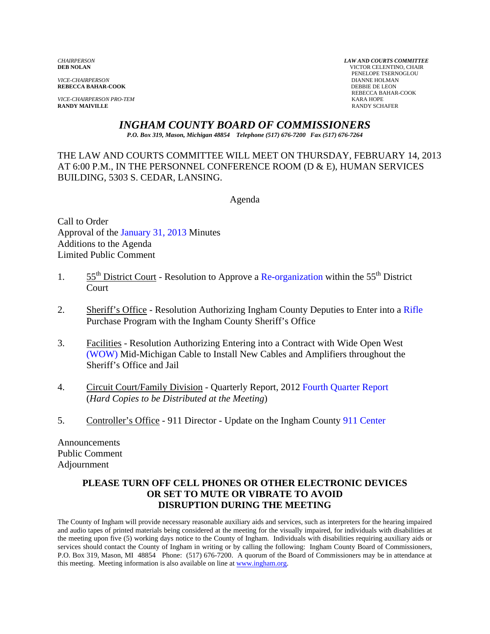*VICE-CHAIRPERSON* DIANNE HOLMAN **REBECCA BAHAR-COOK** 

*VICE-CHAIRPERSON PRO-TEM* KARA HOPE **RANDY MAIVILLE** 

*CHAIRPERSON LAW AND COURTS COMMITTEE* **VICTOR CELENTINO, CHAIR PENELOPE TSERNOGLOU DIANNE HOLMAN** REBECCA BAHAR-COOK

# *INGHAM COUNTY BOARD OF COMMISSIONERS*

*P.O. Box 319, Mason, Michigan 48854 Telephone (517) 676-7200 Fax (517) 676-7264*

THE LAW AND COURTS COMMITTEE WILL MEET ON THURSDAY, FEBRUARY 14, 2013 AT 6:00 P.M., IN THE PERSONNEL CONFERENCE ROOM (D & E), HUMAN SERVICES BUILDING, 5303 S. CEDAR, LANSING.

Agenda

Call to Order Approval o[f the January 31, 2013 Minutes](#page-1-0)  Additions to the Agenda Limited Public Comment

- 1.  $55<sup>th</sup>$  District Court Resolution to Approve a Re-organization within the  $55<sup>th</sup>$  District Court
- 2. Sheriff's Office Resolution Authorizing Ingham County Deputies to Enter int[o a Rifle](#page-15-0)  Purchase Program with the Ingham County Sheriff's Office
- 3. [Facilities Resolution](#page-18-0) Authorizing Entering into a Contract with Wide Open West (WOW) Mid-Michigan Cable to Install New Cables and Amplifiers throughout the Sheriff's Office and Jail
- 4. Circuit Court/Family Division Quarterly Report, [2012 Fourth Quarter Report](#page-20-0)  (*Hard Copies to be Distributed at the Meeting*)
- 5. Controller's Office 911 Director Update on the Ingham Cou[nty 911 Center](#page-21-0)

Announcements Public Comment Adjournment

#### **PLEASE TURN OFF CELL PHONES OR OTHER ELECTRONIC DEVICES OR SET TO MUTE OR VIBRATE TO AVOID DISRUPTION DURING THE MEETING**

The County of Ingham will provide necessary reasonable auxiliary aids and services, such as interpreters for the hearing impaired and audio tapes of printed materials being considered at the meeting for the visually impaired, for individuals with disabilities at the meeting upon five (5) working days notice to the County of Ingham. Individuals with disabilities requiring auxiliary aids or services should contact the County of Ingham in writing or by calling the following: Ingham County Board of Commissioners, P.O. Box 319, Mason, MI 48854 Phone: (517) 676-7200. A quorum of the Board of Commissioners may be in attendance at this meeting. Meeting information is also available on line at www.ingham.org.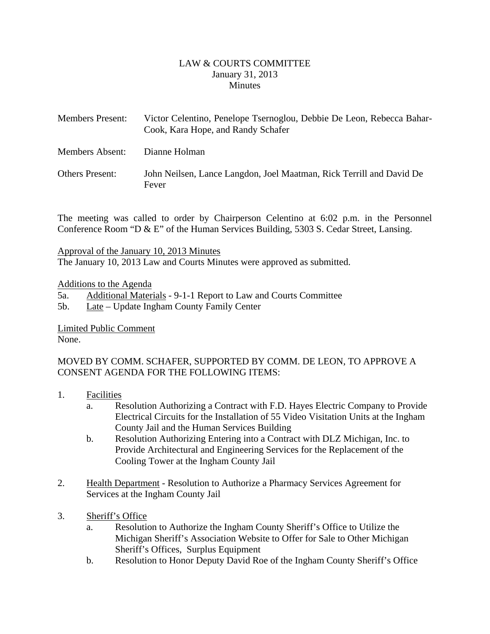#### LAW & COURTS COMMITTEE January 31, 2013 **Minutes**

<span id="page-1-0"></span>

| <b>Members Present:</b> | Victor Celentino, Penelope Tsernoglou, Debbie De Leon, Rebecca Bahar-<br>Cook, Kara Hope, and Randy Schafer |
|-------------------------|-------------------------------------------------------------------------------------------------------------|
| <b>Members Absent:</b>  | Dianne Holman                                                                                               |
| <b>Others Present:</b>  | John Neilsen, Lance Langdon, Joel Maatman, Rick Terrill and David De<br>Fever                               |

The meeting was called to order by Chairperson Celentino at 6:02 p.m. in the Personnel Conference Room "D & E" of the Human Services Building, 5303 S. Cedar Street, Lansing.

#### Approval of the January 10, 2013 Minutes

The January 10, 2013 Law and Courts Minutes were approved as submitted.

#### Additions to the Agenda

5a. Additional Materials - 9-1-1 Report to Law and Courts Committee

5b. Late – Update Ingham County Family Center

Limited Public Comment None.

# MOVED BY COMM. SCHAFER, SUPPORTED BY COMM. DE LEON, TO APPROVE A CONSENT AGENDA FOR THE FOLLOWING ITEMS:

- 1. Facilities
	- a. Resolution Authorizing a Contract with F.D. Hayes Electric Company to Provide Electrical Circuits for the Installation of 55 Video Visitation Units at the Ingham County Jail and the Human Services Building
	- b. Resolution Authorizing Entering into a Contract with DLZ Michigan, Inc. to Provide Architectural and Engineering Services for the Replacement of the Cooling Tower at the Ingham County Jail
- 2. Health Department Resolution to Authorize a Pharmacy Services Agreement for Services at the Ingham County Jail
- 3. Sheriff's Office
	- a. Resolution to Authorize the Ingham County Sheriff's Office to Utilize the Michigan Sheriff's Association Website to Offer for Sale to Other Michigan Sheriff's Offices, Surplus Equipment
	- b. Resolution to Honor Deputy David Roe of the Ingham County Sheriff's Office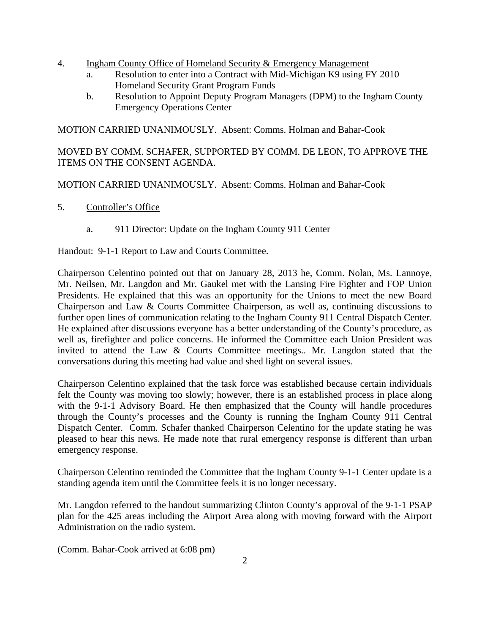- 4. Ingham County Office of Homeland Security & Emergency Management
	- a. Resolution to enter into a Contract with Mid-Michigan K9 using FY 2010 Homeland Security Grant Program Funds
	- b. Resolution to Appoint Deputy Program Managers (DPM) to the Ingham County Emergency Operations Center

MOTION CARRIED UNANIMOUSLY. Absent: Comms. Holman and Bahar-Cook

MOVED BY COMM. SCHAFER, SUPPORTED BY COMM. DE LEON, TO APPROVE THE ITEMS ON THE CONSENT AGENDA.

MOTION CARRIED UNANIMOUSLY. Absent: Comms. Holman and Bahar-Cook

- 5. Controller's Office
	- a. 911 Director: Update on the Ingham County 911 Center

Handout: 9-1-1 Report to Law and Courts Committee.

Chairperson Celentino pointed out that on January 28, 2013 he, Comm. Nolan, Ms. Lannoye, Mr. Neilsen, Mr. Langdon and Mr. Gaukel met with the Lansing Fire Fighter and FOP Union Presidents. He explained that this was an opportunity for the Unions to meet the new Board Chairperson and Law & Courts Committee Chairperson, as well as, continuing discussions to further open lines of communication relating to the Ingham County 911 Central Dispatch Center. He explained after discussions everyone has a better understanding of the County's procedure, as well as, firefighter and police concerns. He informed the Committee each Union President was invited to attend the Law & Courts Committee meetings.. Mr. Langdon stated that the conversations during this meeting had value and shed light on several issues.

Chairperson Celentino explained that the task force was established because certain individuals felt the County was moving too slowly; however, there is an established process in place along with the 9-1-1 Advisory Board. He then emphasized that the County will handle procedures through the County's processes and the County is running the Ingham County 911 Central Dispatch Center. Comm. Schafer thanked Chairperson Celentino for the update stating he was pleased to hear this news. He made note that rural emergency response is different than urban emergency response.

Chairperson Celentino reminded the Committee that the Ingham County 9-1-1 Center update is a standing agenda item until the Committee feels it is no longer necessary.

Mr. Langdon referred to the handout summarizing Clinton County's approval of the 9-1-1 PSAP plan for the 425 areas including the Airport Area along with moving forward with the Airport Administration on the radio system.

(Comm. Bahar-Cook arrived at 6:08 pm)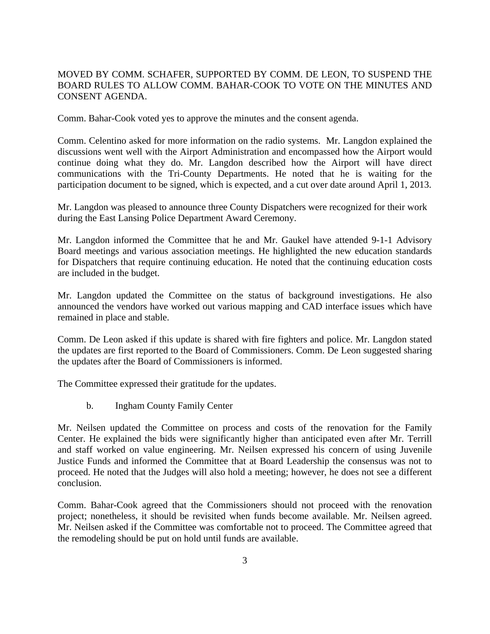#### MOVED BY COMM. SCHAFER, SUPPORTED BY COMM. DE LEON, TO SUSPEND THE BOARD RULES TO ALLOW COMM. BAHAR-COOK TO VOTE ON THE MINUTES AND CONSENT AGENDA.

Comm. Bahar-Cook voted yes to approve the minutes and the consent agenda.

Comm. Celentino asked for more information on the radio systems. Mr. Langdon explained the discussions went well with the Airport Administration and encompassed how the Airport would continue doing what they do. Mr. Langdon described how the Airport will have direct communications with the Tri-County Departments. He noted that he is waiting for the participation document to be signed, which is expected, and a cut over date around April 1, 2013.

Mr. Langdon was pleased to announce three County Dispatchers were recognized for their work during the East Lansing Police Department Award Ceremony.

Mr. Langdon informed the Committee that he and Mr. Gaukel have attended 9-1-1 Advisory Board meetings and various association meetings. He highlighted the new education standards for Dispatchers that require continuing education. He noted that the continuing education costs are included in the budget.

Mr. Langdon updated the Committee on the status of background investigations. He also announced the vendors have worked out various mapping and CAD interface issues which have remained in place and stable.

Comm. De Leon asked if this update is shared with fire fighters and police. Mr. Langdon stated the updates are first reported to the Board of Commissioners. Comm. De Leon suggested sharing the updates after the Board of Commissioners is informed.

The Committee expressed their gratitude for the updates.

b. Ingham County Family Center

Mr. Neilsen updated the Committee on process and costs of the renovation for the Family Center. He explained the bids were significantly higher than anticipated even after Mr. Terrill and staff worked on value engineering. Mr. Neilsen expressed his concern of using Juvenile Justice Funds and informed the Committee that at Board Leadership the consensus was not to proceed. He noted that the Judges will also hold a meeting; however, he does not see a different conclusion.

Comm. Bahar-Cook agreed that the Commissioners should not proceed with the renovation project; nonetheless, it should be revisited when funds become available. Mr. Neilsen agreed. Mr. Neilsen asked if the Committee was comfortable not to proceed. The Committee agreed that the remodeling should be put on hold until funds are available.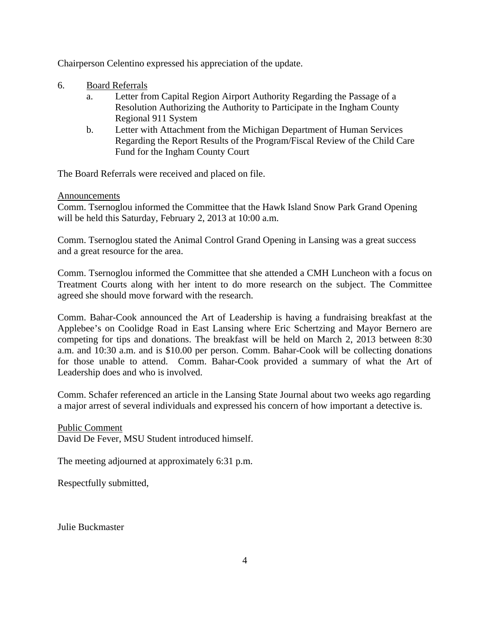Chairperson Celentino expressed his appreciation of the update.

- 6. Board Referrals
	- a. Letter from Capital Region Airport Authority Regarding the Passage of a Resolution Authorizing the Authority to Participate in the Ingham County Regional 911 System
	- b. Letter with Attachment from the Michigan Department of Human Services Regarding the Report Results of the Program/Fiscal Review of the Child Care Fund for the Ingham County Court

The Board Referrals were received and placed on file.

#### Announcements

Comm. Tsernoglou informed the Committee that the Hawk Island Snow Park Grand Opening will be held this Saturday, February 2, 2013 at 10:00 a.m.

Comm. Tsernoglou stated the Animal Control Grand Opening in Lansing was a great success and a great resource for the area.

Comm. Tsernoglou informed the Committee that she attended a CMH Luncheon with a focus on Treatment Courts along with her intent to do more research on the subject. The Committee agreed she should move forward with the research.

Comm. Bahar-Cook announced the Art of Leadership is having a fundraising breakfast at the Applebee's on Coolidge Road in East Lansing where Eric Schertzing and Mayor Bernero are competing for tips and donations. The breakfast will be held on March 2, 2013 between 8:30 a.m. and 10:30 a.m. and is \$10.00 per person. Comm. Bahar-Cook will be collecting donations for those unable to attend. Comm. Bahar-Cook provided a summary of what the Art of Leadership does and who is involved.

Comm. Schafer referenced an article in the Lansing State Journal about two weeks ago regarding a major arrest of several individuals and expressed his concern of how important a detective is.

Public Comment David De Fever, MSU Student introduced himself.

The meeting adjourned at approximately 6:31 p.m.

Respectfully submitted,

Julie Buckmaster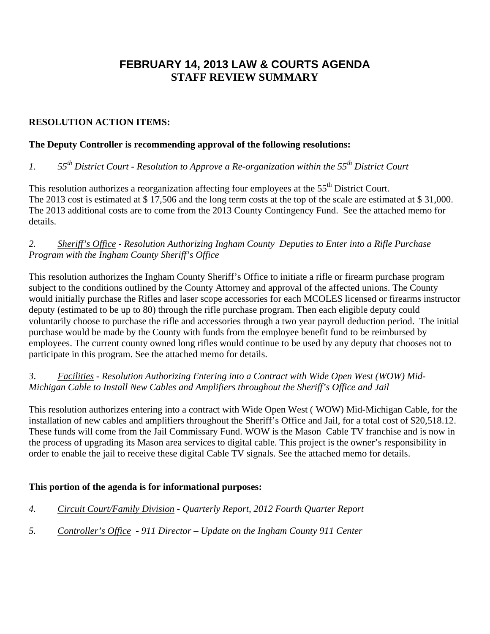# **FEBRUARY 14, 2013 LAW & COURTS AGENDA STAFF REVIEW SUMMARY**

# **RESOLUTION ACTION ITEMS:**

## **The Deputy Controller is recommending approval of the following resolutions:**

# *1. 55th District Court - Resolution to Approve a Re-organization within the 55th District Court*

This resolution authorizes a reorganization affecting four employees at the 55<sup>th</sup> District Court. The 2013 cost is estimated at \$ 17,506 and the long term costs at the top of the scale are estimated at \$ 31,000. The 2013 additional costs are to come from the 2013 County Contingency Fund. See the attached memo for details.

# *2. Sheriff's Office - Resolution Authorizing Ingham County Deputies to Enter into a Rifle Purchase Program with the Ingham County Sheriff's Office*

This resolution authorizes the Ingham County Sheriff's Office to initiate a rifle or firearm purchase program subject to the conditions outlined by the County Attorney and approval of the affected unions. The County would initially purchase the Rifles and laser scope accessories for each MCOLES licensed or firearms instructor deputy (estimated to be up to 80) through the rifle purchase program. Then each eligible deputy could voluntarily choose to purchase the rifle and accessories through a two year payroll deduction period. The initial purchase would be made by the County with funds from the employee benefit fund to be reimbursed by employees. The current county owned long rifles would continue to be used by any deputy that chooses not to participate in this program. See the attached memo for details.

# *3*. *Facilities - Resolution Authorizing Entering into a Contract with Wide Open West (WOW) Mid-Michigan Cable to Install New Cables and Amplifiers throughout the Sheriff's Office and Jail*

This resolution authorizes entering into a contract with Wide Open West ( WOW) Mid-Michigan Cable, for the installation of new cables and amplifiers throughout the Sheriff's Office and Jail, for a total cost of \$20,518.12. These funds will come from the Jail Commissary Fund. WOW is the Mason Cable TV franchise and is now in the process of upgrading its Mason area services to digital cable. This project is the owner's responsibility in order to enable the jail to receive these digital Cable TV signals. See the attached memo for details.

# **This portion of the agenda is for informational purposes:**

- *4. Circuit Court/Family Division Quarterly Report, 2012 Fourth Quarter Report*
- *5. Controller's Office 911 Director Update on the Ingham County 911 Center*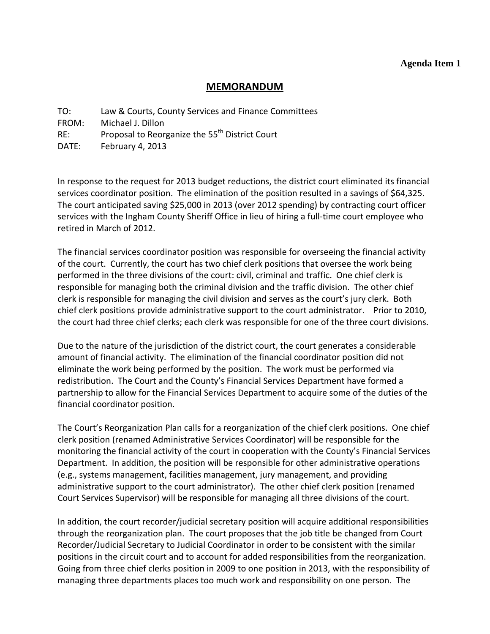#### **Agenda Item 1**

#### **MEMORANDUM**

<span id="page-6-0"></span>TO: Law & Courts, County Services and Finance Committees

FROM: Michael J. Dillon

RE: Proposal to Reorganize the 55<sup>th</sup> District Court

DATE: February 4, 2013

In response to the request for 2013 budget reductions, the district court eliminated its financial services coordinator position. The elimination of the position resulted in a savings of \$64,325. The court anticipated saving \$25,000 in 2013 (over 2012 spending) by contracting court officer services with the Ingham County Sheriff Office in lieu of hiring a full-time court employee who retired in March of 2012.

The financial services coordinator position was responsible for overseeing the financial activity of the court. Currently, the court has two chief clerk positions that oversee the work being performed in the three divisions of the court: civil, criminal and traffic. One chief clerk is responsible for managing both the criminal division and the traffic division. The other chief clerk is responsible for managing the civil division and serves as the court's jury clerk. Both chief clerk positions provide administrative support to the court administrator. Prior to 2010, the court had three chief clerks; each clerk was responsible for one of the three court divisions.

Due to the nature of the jurisdiction of the district court, the court generates a considerable amount of financial activity. The elimination of the financial coordinator position did not eliminate the work being performed by the position. The work must be performed via redistribution. The Court and the County's Financial Services Department have formed a partnership to allow for the Financial Services Department to acquire some of the duties of the financial coordinator position.

The Court's Reorganization Plan calls for a reorganization of the chief clerk positions. One chief clerk position (renamed Administrative Services Coordinator) will be responsible for the monitoring the financial activity of the court in cooperation with the County's Financial Services Department. In addition, the position will be responsible for other administrative operations (e.g., systems management, facilities management, jury management, and providing administrative support to the court administrator). The other chief clerk position (renamed Court Services Supervisor) will be responsible for managing all three divisions of the court.

In addition, the court recorder/judicial secretary position will acquire additional responsibilities through the reorganization plan. The court proposes that the job title be changed from Court Recorder/Judicial Secretary to Judicial Coordinator in order to be consistent with the similar positions in the circuit court and to account for added responsibilities from the reorganization. Going from three chief clerks position in 2009 to one position in 2013, with the responsibility of managing three departments places too much work and responsibility on one person. The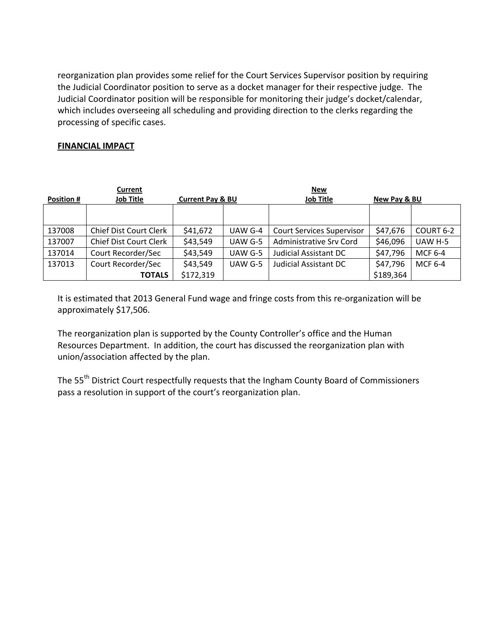reorganization plan provides some relief for the Court Services Supervisor position by requiring the Judicial Coordinator position to serve as a docket manager for their respective judge. The Judicial Coordinator position will be responsible for monitoring their judge's docket/calendar, which includes overseeing all scheduling and providing direction to the clerks regarding the processing of specific cases.

#### **FINANCIAL IMPACT**

|                   | Current                |                             |         | <b>New</b>                       |              |                |
|-------------------|------------------------|-----------------------------|---------|----------------------------------|--------------|----------------|
| <b>Position #</b> | <b>Job Title</b>       | <b>Current Pay &amp; BU</b> |         | <b>Job Title</b>                 | New Pay & BU |                |
|                   |                        |                             |         |                                  |              |                |
|                   |                        |                             |         |                                  |              |                |
| 137008            | Chief Dist Court Clerk | \$41,672                    | UAW G-4 | <b>Court Services Supervisor</b> | \$47,676     | COURT 6-2      |
| 137007            | Chief Dist Court Clerk | \$43,549                    | UAW G-5 | <b>Administrative Srv Cord</b>   | \$46,096     | UAW H-5        |
| 137014            | Court Recorder/Sec     | \$43,549                    | UAW G-5 | <b>Judicial Assistant DC</b>     | \$47,796     | MCF 6-4        |
| 137013            | Court Recorder/Sec     | \$43,549                    | UAW G-5 | <b>Judicial Assistant DC</b>     | \$47,796     | <b>MCF 6-4</b> |
|                   | <b>TOTALS</b>          | \$172,319                   |         |                                  | \$189,364    |                |

It is estimated that 2013 General Fund wage and fringe costs from this re‐organization will be approximately \$17,506.

The reorganization plan is supported by the County Controller's office and the Human Resources Department. In addition, the court has discussed the reorganization plan with union/association affected by the plan.

The 55<sup>th</sup> District Court respectfully requests that the Ingham County Board of Commissioners pass a resolution in support of the court's reorganization plan.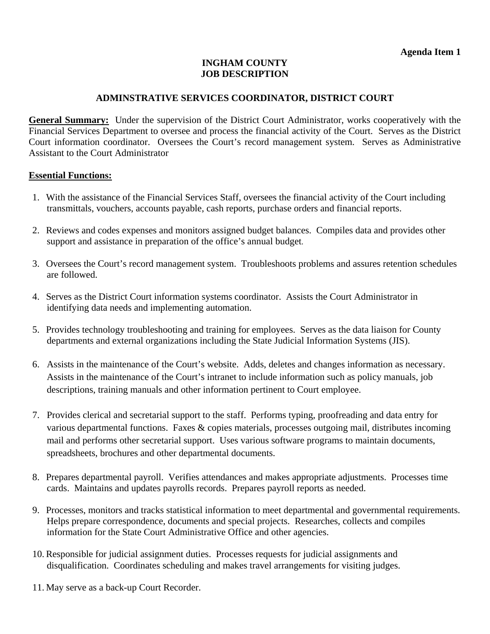#### **INGHAM COUNTY JOB DESCRIPTION**

# **ADMINSTRATIVE SERVICES COORDINATOR, DISTRICT COURT**

**General Summary:** Under the supervision of the District Court Administrator, works cooperatively with the Financial Services Department to oversee and process the financial activity of the Court. Serves as the District Court information coordinator. Oversees the Court's record management system. Serves as Administrative Assistant to the Court Administrator

#### **Essential Functions:**

- 1. With the assistance of the Financial Services Staff, oversees the financial activity of the Court including transmittals, vouchers, accounts payable, cash reports, purchase orders and financial reports.
- 2. Reviews and codes expenses and monitors assigned budget balances. Compiles data and provides other support and assistance in preparation of the office's annual budget.
- 3. Oversees the Court's record management system. Troubleshoots problems and assures retention schedules are followed.
- 4. Serves as the District Court information systems coordinator. Assists the Court Administrator in identifying data needs and implementing automation.
- 5. Provides technology troubleshooting and training for employees. Serves as the data liaison for County departments and external organizations including the State Judicial Information Systems (JIS).
- 6. Assists in the maintenance of the Court's website. Adds, deletes and changes information as necessary. Assists in the maintenance of the Court's intranet to include information such as policy manuals, job descriptions, training manuals and other information pertinent to Court employee.
- 7. Provides clerical and secretarial support to the staff. Performs typing, proofreading and data entry for various departmental functions. Faxes & copies materials, processes outgoing mail, distributes incoming mail and performs other secretarial support. Uses various software programs to maintain documents, spreadsheets, brochures and other departmental documents.
- 8. Prepares departmental payroll. Verifies attendances and makes appropriate adjustments. Processes time cards. Maintains and updates payrolls records. Prepares payroll reports as needed.
- 9. Processes, monitors and tracks statistical information to meet departmental and governmental requirements. Helps prepare correspondence, documents and special projects. Researches, collects and compiles information for the State Court Administrative Office and other agencies.
- 10. Responsible for judicial assignment duties. Processes requests for judicial assignments and disqualification. Coordinates scheduling and makes travel arrangements for visiting judges.
- 11. May serve as a back-up Court Recorder.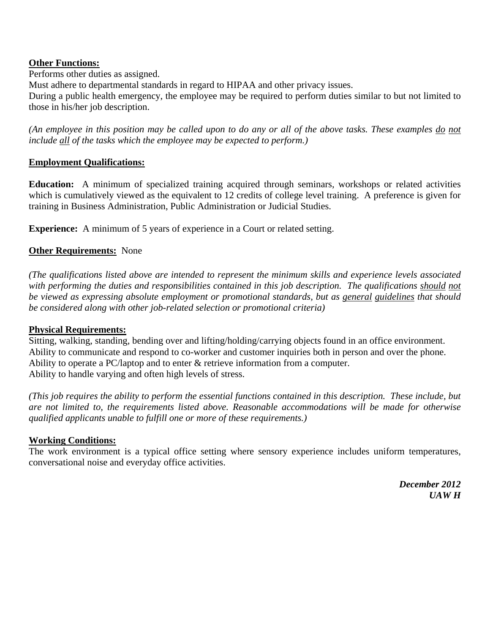#### **Other Functions:**

Performs other duties as assigned.

Must adhere to departmental standards in regard to HIPAA and other privacy issues.

During a public health emergency, the employee may be required to perform duties similar to but not limited to those in his/her job description.

*(An employee in this position may be called upon to do any or all of the above tasks. These examples do not include all of the tasks which the employee may be expected to perform.)* 

## **Employment Qualifications:**

**Education:** A minimum of specialized training acquired through seminars, workshops or related activities which is cumulatively viewed as the equivalent to 12 credits of college level training. A preference is given for training in Business Administration, Public Administration or Judicial Studies.

**Experience:** A minimum of 5 years of experience in a Court or related setting.

# **Other Requirements:** None

*(The qualifications listed above are intended to represent the minimum skills and experience levels associated with performing the duties and responsibilities contained in this job description. The qualifications should not be viewed as expressing absolute employment or promotional standards, but as general guidelines that should be considered along with other job-related selection or promotional criteria)* 

# **Physical Requirements:**

Sitting, walking, standing, bending over and lifting/holding/carrying objects found in an office environment. Ability to communicate and respond to co-worker and customer inquiries both in person and over the phone. Ability to operate a PC/laptop and to enter & retrieve information from a computer. Ability to handle varying and often high levels of stress.

*(This job requires the ability to perform the essential functions contained in this description. These include, but are not limited to, the requirements listed above. Reasonable accommodations will be made for otherwise qualified applicants unable to fulfill one or more of these requirements.)*

#### **Working Conditions:**

The work environment is a typical office setting where sensory experience includes uniform temperatures, conversational noise and everyday office activities.

> *December 2012 UAW H*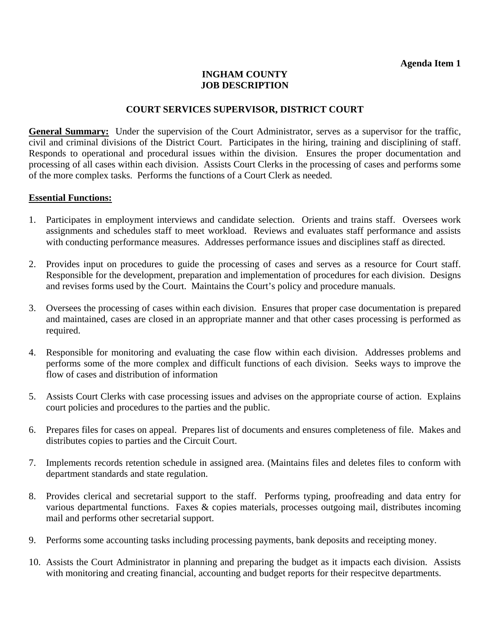## **INGHAM COUNTY JOB DESCRIPTION**

#### **COURT SERVICES SUPERVISOR, DISTRICT COURT**

**General Summary:** Under the supervision of the Court Administrator, serves as a supervisor for the traffic, civil and criminal divisions of the District Court. Participates in the hiring, training and disciplining of staff. Responds to operational and procedural issues within the division. Ensures the proper documentation and processing of all cases within each division. Assists Court Clerks in the processing of cases and performs some of the more complex tasks. Performs the functions of a Court Clerk as needed.

#### **Essential Functions:**

- 1. Participates in employment interviews and candidate selection. Orients and trains staff. Oversees work assignments and schedules staff to meet workload. Reviews and evaluates staff performance and assists with conducting performance measures. Addresses performance issues and disciplines staff as directed.
- 2. Provides input on procedures to guide the processing of cases and serves as a resource for Court staff. Responsible for the development, preparation and implementation of procedures for each division. Designs and revises forms used by the Court. Maintains the Court's policy and procedure manuals.
- 3. Oversees the processing of cases within each division. Ensures that proper case documentation is prepared and maintained, cases are closed in an appropriate manner and that other cases processing is performed as required.
- 4. Responsible for monitoring and evaluating the case flow within each division. Addresses problems and performs some of the more complex and difficult functions of each division. Seeks ways to improve the flow of cases and distribution of information
- 5. Assists Court Clerks with case processing issues and advises on the appropriate course of action. Explains court policies and procedures to the parties and the public.
- 6. Prepares files for cases on appeal. Prepares list of documents and ensures completeness of file. Makes and distributes copies to parties and the Circuit Court.
- 7. Implements records retention schedule in assigned area. (Maintains files and deletes files to conform with department standards and state regulation.
- 8. Provides clerical and secretarial support to the staff. Performs typing, proofreading and data entry for various departmental functions. Faxes & copies materials, processes outgoing mail, distributes incoming mail and performs other secretarial support.
- 9. Performs some accounting tasks including processing payments, bank deposits and receipting money.
- 10. Assists the Court Administrator in planning and preparing the budget as it impacts each division. Assists with monitoring and creating financial, accounting and budget reports for their respecitve departments.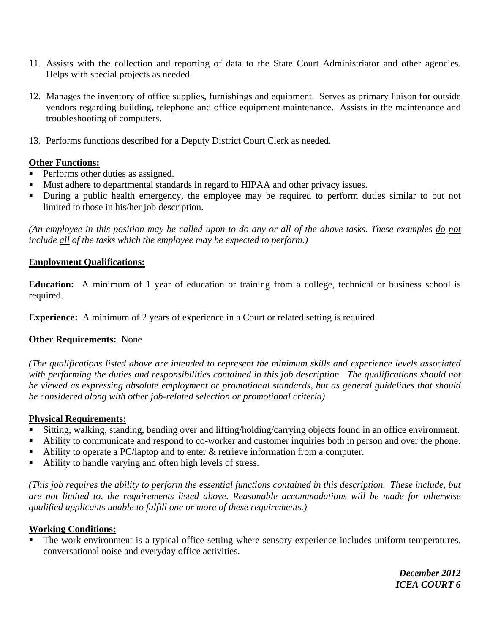- 11. Assists with the collection and reporting of data to the State Court Administriator and other agencies. Helps with special projects as needed.
- 12. Manages the inventory of office supplies, furnishings and equipment. Serves as primary liaison for outside vendors regarding building, telephone and office equipment maintenance. Assists in the maintenance and troubleshooting of computers.
- 13. Performs functions described for a Deputy District Court Clerk as needed.

## **Other Functions:**

- Performs other duties as assigned.
- Must adhere to departmental standards in regard to HIPAA and other privacy issues.
- During a public health emergency, the employee may be required to perform duties similar to but not limited to those in his/her job description.

*(An employee in this position may be called upon to do any or all of the above tasks. These examples do not include all of the tasks which the employee may be expected to perform.)* 

#### **Employment Qualifications:**

**Education:** A minimum of 1 year of education or training from a college, technical or business school is required.

**Experience:** A minimum of 2 years of experience in a Court or related setting is required.

#### **Other Requirements:** None

*(The qualifications listed above are intended to represent the minimum skills and experience levels associated with performing the duties and responsibilities contained in this job description. The qualifications should not be viewed as expressing absolute employment or promotional standards, but as general guidelines that should be considered along with other job-related selection or promotional criteria)* 

#### **Physical Requirements:**

- Sitting, walking, standing, bending over and lifting/holding/carrying objects found in an office environment.
- Ability to communicate and respond to co-worker and customer inquiries both in person and over the phone.
- Ability to operate a PC/laptop and to enter  $\&$  retrieve information from a computer.
- Ability to handle varying and often high levels of stress.

*(This job requires the ability to perform the essential functions contained in this description. These include, but are not limited to, the requirements listed above. Reasonable accommodations will be made for otherwise qualified applicants unable to fulfill one or more of these requirements.)*

#### **Working Conditions:**

 The work environment is a typical office setting where sensory experience includes uniform temperatures, conversational noise and everyday office activities.

> *December 2012 ICEA COURT 6*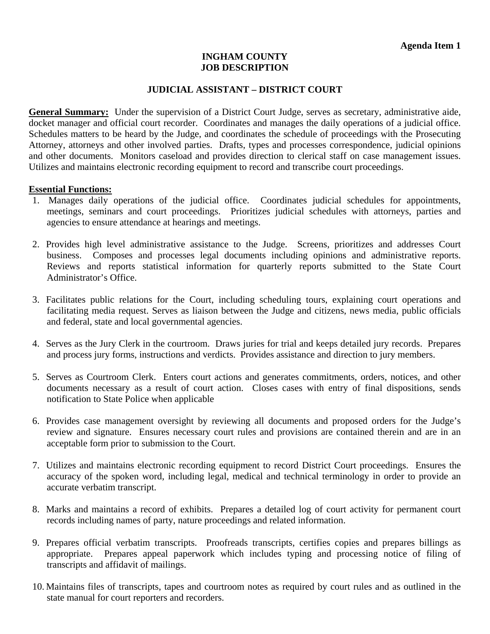#### **INGHAM COUNTY JOB DESCRIPTION**

#### **JUDICIAL ASSISTANT – DISTRICT COURT**

**General Summary:** Under the supervision of a District Court Judge, serves as secretary, administrative aide, docket manager and official court recorder. Coordinates and manages the daily operations of a judicial office. Schedules matters to be heard by the Judge, and coordinates the schedule of proceedings with the Prosecuting Attorney, attorneys and other involved parties. Drafts, types and processes correspondence, judicial opinions and other documents. Monitors caseload and provides direction to clerical staff on case management issues. Utilizes and maintains electronic recording equipment to record and transcribe court proceedings.

#### **Essential Functions:**

- 1. Manages daily operations of the judicial office. Coordinates judicial schedules for appointments, meetings, seminars and court proceedings. Prioritizes judicial schedules with attorneys, parties and agencies to ensure attendance at hearings and meetings.
- 2. Provides high level administrative assistance to the Judge. Screens, prioritizes and addresses Court business. Composes and processes legal documents including opinions and administrative reports. Reviews and reports statistical information for quarterly reports submitted to the State Court Administrator's Office.
- 3. Facilitates public relations for the Court, including scheduling tours, explaining court operations and facilitating media request. Serves as liaison between the Judge and citizens, news media, public officials and federal, state and local governmental agencies.
- 4. Serves as the Jury Clerk in the courtroom. Draws juries for trial and keeps detailed jury records. Prepares and process jury forms, instructions and verdicts. Provides assistance and direction to jury members.
- 5. Serves as Courtroom Clerk. Enters court actions and generates commitments, orders, notices, and other documents necessary as a result of court action. Closes cases with entry of final dispositions, sends notification to State Police when applicable
- 6. Provides case management oversight by reviewing all documents and proposed orders for the Judge's review and signature. Ensures necessary court rules and provisions are contained therein and are in an acceptable form prior to submission to the Court.
- 7. Utilizes and maintains electronic recording equipment to record District Court proceedings. Ensures the accuracy of the spoken word, including legal, medical and technical terminology in order to provide an accurate verbatim transcript.
- 8. Marks and maintains a record of exhibits. Prepares a detailed log of court activity for permanent court records including names of party, nature proceedings and related information.
- 9. Prepares official verbatim transcripts. Proofreads transcripts, certifies copies and prepares billings as appropriate. Prepares appeal paperwork which includes typing and processing notice of filing of transcripts and affidavit of mailings.
- 10. Maintains files of transcripts, tapes and courtroom notes as required by court rules and as outlined in the state manual for court reporters and recorders.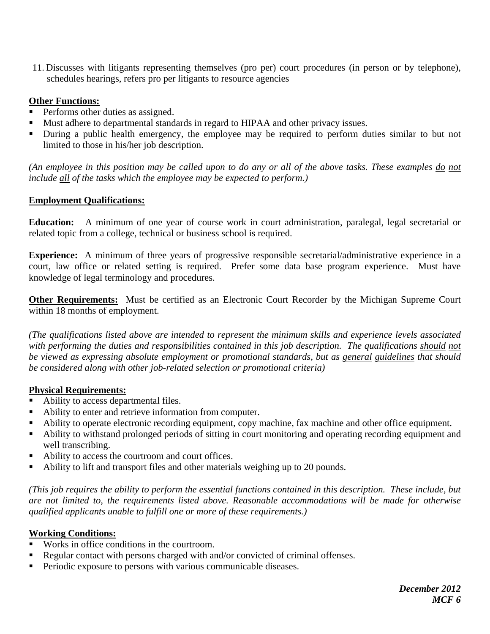11. Discusses with litigants representing themselves (pro per) court procedures (in person or by telephone), schedules hearings, refers pro per litigants to resource agencies

# **Other Functions:**

- Performs other duties as assigned.
- Must adhere to departmental standards in regard to HIPAA and other privacy issues.
- During a public health emergency, the employee may be required to perform duties similar to but not limited to those in his/her job description.

*(An employee in this position may be called upon to do any or all of the above tasks. These examples do not include all of the tasks which the employee may be expected to perform.)* 

# **Employment Qualifications:**

**Education:** A minimum of one year of course work in court administration, paralegal, legal secretarial or related topic from a college, technical or business school is required.

**Experience:** A minimum of three years of progressive responsible secretarial/administrative experience in a court, law office or related setting is required. Prefer some data base program experience. Must have knowledge of legal terminology and procedures.

**Other Requirements:** Must be certified as an Electronic Court Recorder by the Michigan Supreme Court within 18 months of employment.

*(The qualifications listed above are intended to represent the minimum skills and experience levels associated with performing the duties and responsibilities contained in this job description. The qualifications should not be viewed as expressing absolute employment or promotional standards, but as general guidelines that should be considered along with other job-related selection or promotional criteria)* 

# **Physical Requirements:**

- Ability to access departmental files.
- Ability to enter and retrieve information from computer.
- Ability to operate electronic recording equipment, copy machine, fax machine and other office equipment.
- Ability to withstand prolonged periods of sitting in court monitoring and operating recording equipment and well transcribing.
- Ability to access the courtroom and court offices.
- Ability to lift and transport files and other materials weighing up to 20 pounds.

*(This job requires the ability to perform the essential functions contained in this description. These include, but are not limited to, the requirements listed above. Reasonable accommodations will be made for otherwise qualified applicants unable to fulfill one or more of these requirements.)*

# **Working Conditions:**

- Works in office conditions in the courtroom.
- Regular contact with persons charged with and/or convicted of criminal offenses.
- **Periodic exposure to persons with various communicable diseases.**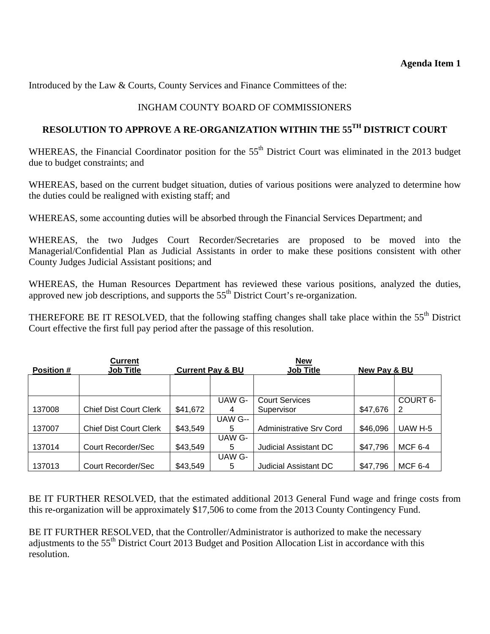Introduced by the Law & Courts, County Services and Finance Committees of the:

# INGHAM COUNTY BOARD OF COMMISSIONERS

# **RESOLUTION TO APPROVE A RE-ORGANIZATION WITHIN THE 55TH DISTRICT COURT**

WHEREAS, the Financial Coordinator position for the 55<sup>th</sup> District Court was eliminated in the 2013 budget due to budget constraints; and

WHEREAS, based on the current budget situation, duties of various positions were analyzed to determine how the duties could be realigned with existing staff; and

WHEREAS, some accounting duties will be absorbed through the Financial Services Department; and

WHEREAS, the two Judges Court Recorder/Secretaries are proposed to be moved into the Managerial/Confidential Plan as Judicial Assistants in order to make these positions consistent with other County Judges Judicial Assistant positions; and

WHEREAS, the Human Resources Department has reviewed these various positions, analyzed the duties, approved new job descriptions, and supports the 55<sup>th</sup> District Court's re-organization.

THEREFORE BE IT RESOLVED, that the following staffing changes shall take place within the  $55<sup>th</sup>$  District Court effective the first full pay period after the passage of this resolution.

| Current           |                               |          | <b>New</b>                                      |                                |              |                |
|-------------------|-------------------------------|----------|-------------------------------------------------|--------------------------------|--------------|----------------|
| <b>Position #</b> | <b>Job Title</b>              |          | <b>Job Title</b><br><b>Current Pay &amp; BU</b> |                                | New Pay & BU |                |
|                   |                               |          |                                                 |                                |              |                |
|                   |                               |          |                                                 |                                |              |                |
|                   |                               |          | UAW G-                                          | <b>Court Services</b>          |              | COURT 6-       |
| 137008            | <b>Chief Dist Court Clerk</b> | \$41,672 | 4                                               | Supervisor                     | \$47,676     | 2              |
|                   |                               |          | UAW G--                                         |                                |              |                |
| 137007            | <b>Chief Dist Court Clerk</b> | \$43,549 | 5                                               | <b>Administrative Srv Cord</b> | \$46,096     | UAW H-5        |
|                   |                               |          | UAW G-                                          |                                |              |                |
| 137014            | Court Recorder/Sec            | \$43,549 | 5                                               | <b>Judicial Assistant DC</b>   | \$47,796     | <b>MCF 6-4</b> |
|                   |                               |          | UAW G-                                          |                                |              |                |
| 137013            | Court Recorder/Sec            | \$43.549 | 5                                               | <b>Judicial Assistant DC</b>   | \$47,796     | <b>MCF 6-4</b> |

BE IT FURTHER RESOLVED, that the estimated additional 2013 General Fund wage and fringe costs from this re-organization will be approximately \$17,506 to come from the 2013 County Contingency Fund.

BE IT FURTHER RESOLVED, that the Controller/Administrator is authorized to make the necessary adjustments to the 55<sup>th</sup> District Court 2013 Budget and Position Allocation List in accordance with this resolution.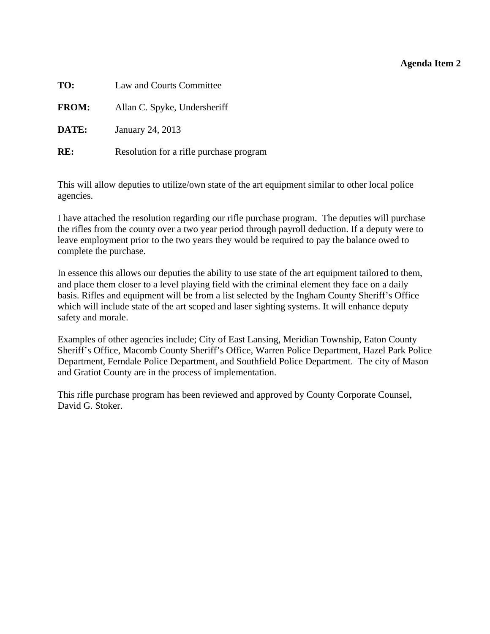## **Agenda Item 2**

<span id="page-15-0"></span>

| TO:          | Law and Courts Committee                |  |  |  |  |
|--------------|-----------------------------------------|--|--|--|--|
| <b>FROM:</b> | Allan C. Spyke, Undersheriff            |  |  |  |  |
| DATE:        | January 24, 2013                        |  |  |  |  |
| RE:          | Resolution for a rifle purchase program |  |  |  |  |

This will allow deputies to utilize/own state of the art equipment similar to other local police agencies.

I have attached the resolution regarding our rifle purchase program. The deputies will purchase the rifles from the county over a two year period through payroll deduction. If a deputy were to leave employment prior to the two years they would be required to pay the balance owed to complete the purchase.

In essence this allows our deputies the ability to use state of the art equipment tailored to them, and place them closer to a level playing field with the criminal element they face on a daily basis. Rifles and equipment will be from a list selected by the Ingham County Sheriff's Office which will include state of the art scoped and laser sighting systems. It will enhance deputy safety and morale.

Examples of other agencies include; City of East Lansing, Meridian Township, Eaton County Sheriff's Office, Macomb County Sheriff's Office, Warren Police Department, Hazel Park Police Department, Ferndale Police Department, and Southfield Police Department. The city of Mason and Gratiot County are in the process of implementation.

This rifle purchase program has been reviewed and approved by County Corporate Counsel, David G. Stoker.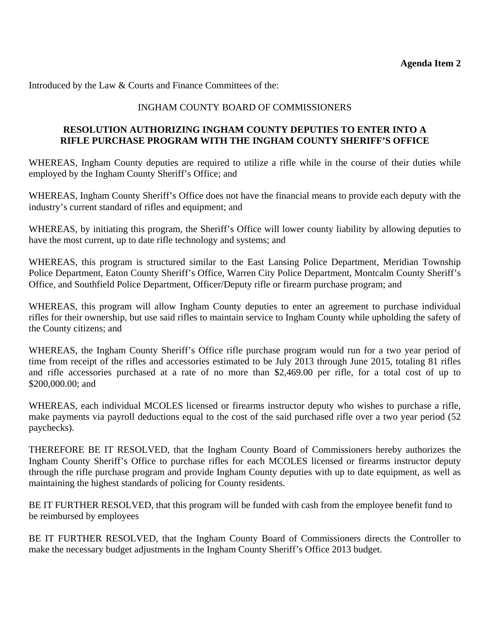Introduced by the Law & Courts and Finance Committees of the:

## INGHAM COUNTY BOARD OF COMMISSIONERS

## **RESOLUTION AUTHORIZING INGHAM COUNTY DEPUTIES TO ENTER INTO A RIFLE PURCHASE PROGRAM WITH THE INGHAM COUNTY SHERIFF'S OFFICE**

WHEREAS, Ingham County deputies are required to utilize a rifle while in the course of their duties while employed by the Ingham County Sheriff's Office; and

WHEREAS, Ingham County Sheriff's Office does not have the financial means to provide each deputy with the industry's current standard of rifles and equipment; and

WHEREAS, by initiating this program, the Sheriff's Office will lower county liability by allowing deputies to have the most current, up to date rifle technology and systems; and

WHEREAS, this program is structured similar to the East Lansing Police Department, Meridian Township Police Department, Eaton County Sheriff's Office, Warren City Police Department, Montcalm County Sheriff's Office, and Southfield Police Department, Officer/Deputy rifle or firearm purchase program; and

WHEREAS, this program will allow Ingham County deputies to enter an agreement to purchase individual rifles for their ownership, but use said rifles to maintain service to Ingham County while upholding the safety of the County citizens; and

WHEREAS, the Ingham County Sheriff's Office rifle purchase program would run for a two year period of time from receipt of the rifles and accessories estimated to be July 2013 through June 2015, totaling 81 rifles and rifle accessories purchased at a rate of no more than \$2,469.00 per rifle, for a total cost of up to \$200,000.00; and

WHEREAS, each individual MCOLES licensed or firearms instructor deputy who wishes to purchase a rifle, make payments via payroll deductions equal to the cost of the said purchased rifle over a two year period (52 paychecks).

THEREFORE BE IT RESOLVED, that the Ingham County Board of Commissioners hereby authorizes the Ingham County Sheriff's Office to purchase rifles for each MCOLES licensed or firearms instructor deputy through the rifle purchase program and provide Ingham County deputies with up to date equipment, as well as maintaining the highest standards of policing for County residents.

BE IT FURTHER RESOLVED, that this program will be funded with cash from the employee benefit fund to be reimbursed by employees

BE IT FURTHER RESOLVED, that the Ingham County Board of Commissioners directs the Controller to make the necessary budget adjustments in the Ingham County Sheriff's Office 2013 budget.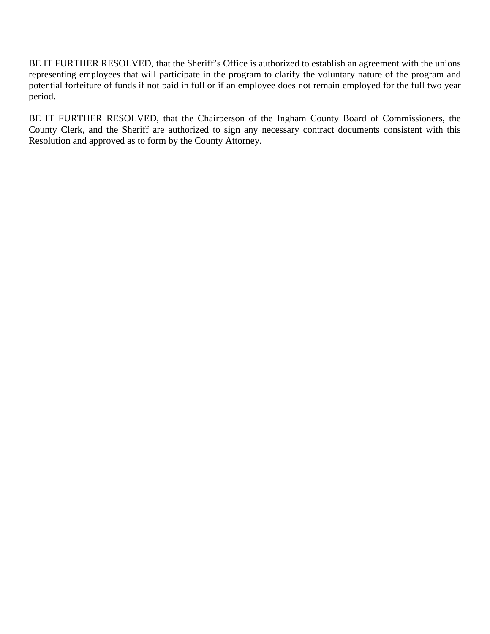BE IT FURTHER RESOLVED, that the Sheriff's Office is authorized to establish an agreement with the unions representing employees that will participate in the program to clarify the voluntary nature of the program and potential forfeiture of funds if not paid in full or if an employee does not remain employed for the full two year period.

BE IT FURTHER RESOLVED, that the Chairperson of the Ingham County Board of Commissioners, the County Clerk, and the Sheriff are authorized to sign any necessary contract documents consistent with this Resolution and approved as to form by the County Attorney.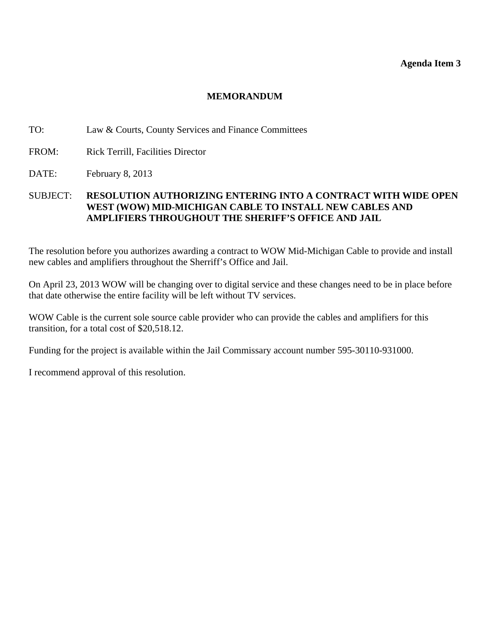#### **Agenda Item 3**

#### **MEMORANDUM**

#### <span id="page-18-0"></span>TO: Law & Courts, County Services and Finance Committees

- FROM: Rick Terrill, Facilities Director
- DATE: February 8, 2013

#### SUBJECT: **RESOLUTION AUTHORIZING ENTERING INTO A CONTRACT WITH WIDE OPEN WEST (WOW) MID-MICHIGAN CABLE TO INSTALL NEW CABLES AND AMPLIFIERS THROUGHOUT THE SHERIFF'S OFFICE AND JAIL**

The resolution before you authorizes awarding a contract to WOW Mid-Michigan Cable to provide and install new cables and amplifiers throughout the Sherriff's Office and Jail.

On April 23, 2013 WOW will be changing over to digital service and these changes need to be in place before that date otherwise the entire facility will be left without TV services.

WOW Cable is the current sole source cable provider who can provide the cables and amplifiers for this transition, for a total cost of \$20,518.12.

Funding for the project is available within the Jail Commissary account number 595-30110-931000.

I recommend approval of this resolution.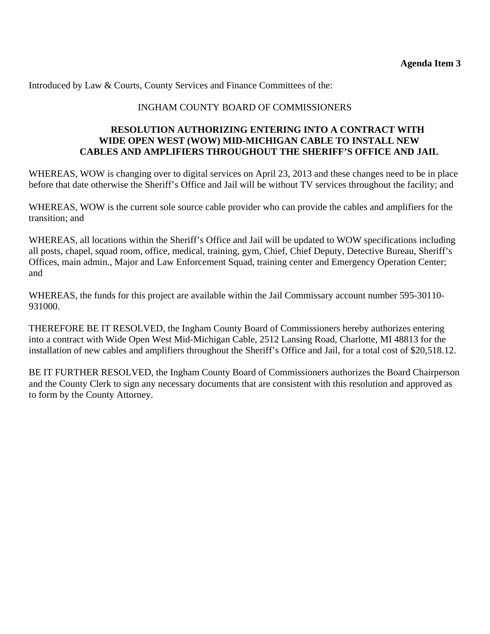Introduced by Law & Courts, County Services and Finance Committees of the:

# INGHAM COUNTY BOARD OF COMMISSIONERS

## **RESOLUTION AUTHORIZING ENTERING INTO A CONTRACT WITH WIDE OPEN WEST (WOW) MID-MICHIGAN CABLE TO INSTALL NEW CABLES AND AMPLIFIERS THROUGHOUT THE SHERIFF'S OFFICE AND JAIL**

WHEREAS, WOW is changing over to digital services on April 23, 2013 and these changes need to be in place before that date otherwise the Sheriff's Office and Jail will be without TV services throughout the facility; and

WHEREAS, WOW is the current sole source cable provider who can provide the cables and amplifiers for the transition; and

WHEREAS, all locations within the Sheriff's Office and Jail will be updated to WOW specifications including all posts, chapel, squad room, office, medical, training, gym, Chief, Chief Deputy, Detective Bureau, Sheriff's Offices, main admin., Major and Law Enforcement Squad, training center and Emergency Operation Center; and

WHEREAS, the funds for this project are available within the Jail Commissary account number 595-30110-931000.

THEREFORE BE IT RESOLVED, the Ingham County Board of Commissioners hereby authorizes entering into a contract with Wide Open West Mid-Michigan Cable, 2512 Lansing Road, Charlotte, MI 48813 for the installation of new cables and amplifiers throughout the Sheriff's Office and Jail, for a total cost of \$20,518.12.

BE IT FURTHER RESOLVED, the Ingham County Board of Commissioners authorizes the Board Chairperson and the County Clerk to sign any necessary documents that are consistent with this resolution and approved as to form by the County Attorney.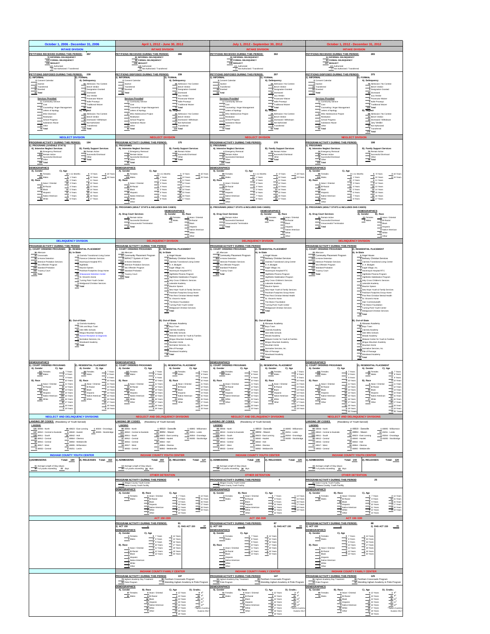<span id="page-20-0"></span>

| October 1, 2006 - December 31, 2006                                                                                                                                                                                                                                                                                                                                                                                                                                                                                                                                                                                                                                                                                                                               | April 1, 2012 - June 30, 2012                                                                                                                                                                                                                                                                                                                                                                                                                                                                                                                                                                                                                                                                                                                                                                                                                                                                                                                                                                                                                                                                                                                      | July 1, 2012 - September 30, 2012                                                                                                                                                                                                                                                                                                                                                                                                                                                                                                                                                                                                                                                                                                                                                                                                                                                            | October 1, 2012 - December 31, 2012                                                                                                                                                                                                                                                                                                                                                                                                                                                                                                                                                                                                                                                                                                                                                                                                                                                                                                                                                                                                                                                                                                                                                                                               |  |
|-------------------------------------------------------------------------------------------------------------------------------------------------------------------------------------------------------------------------------------------------------------------------------------------------------------------------------------------------------------------------------------------------------------------------------------------------------------------------------------------------------------------------------------------------------------------------------------------------------------------------------------------------------------------------------------------------------------------------------------------------------------------|----------------------------------------------------------------------------------------------------------------------------------------------------------------------------------------------------------------------------------------------------------------------------------------------------------------------------------------------------------------------------------------------------------------------------------------------------------------------------------------------------------------------------------------------------------------------------------------------------------------------------------------------------------------------------------------------------------------------------------------------------------------------------------------------------------------------------------------------------------------------------------------------------------------------------------------------------------------------------------------------------------------------------------------------------------------------------------------------------------------------------------------------------|----------------------------------------------------------------------------------------------------------------------------------------------------------------------------------------------------------------------------------------------------------------------------------------------------------------------------------------------------------------------------------------------------------------------------------------------------------------------------------------------------------------------------------------------------------------------------------------------------------------------------------------------------------------------------------------------------------------------------------------------------------------------------------------------------------------------------------------------------------------------------------------------|-----------------------------------------------------------------------------------------------------------------------------------------------------------------------------------------------------------------------------------------------------------------------------------------------------------------------------------------------------------------------------------------------------------------------------------------------------------------------------------------------------------------------------------------------------------------------------------------------------------------------------------------------------------------------------------------------------------------------------------------------------------------------------------------------------------------------------------------------------------------------------------------------------------------------------------------------------------------------------------------------------------------------------------------------------------------------------------------------------------------------------------------------------------------------------------------------------------------------------------|--|
| <b>INTAKE DIVISION</b><br>PETITIONS RECEIVED DURING THIS PERIOD: 357<br>78 INFORMAL DELINQUENCY<br>124 FORMAL DELINQUENCY<br>155 NEGLECT<br>142 Authorized<br>13 Not Authorized / Transferred                                                                                                                                                                                                                                                                                                                                                                                                                                                                                                                                                                     | PETITIONS RECEIVED DURING THIS PERIOD:<br>286<br>82 INFORMAL DELINQUENCY<br>58 FORMAL DELINQUENCY<br>146 NEGLECT<br>128 Authorized<br>18 Not Authorized / Transferred                                                                                                                                                                                                                                                                                                                                                                                                                                                                                                                                                                                                                                                                                                                                                                                                                                                                                                                                                                              | PETITIONS RECEIVED DURING THIS PERIOD:<br>95 INFORMAL DELINQUENCY<br>69 FORMAL DELINQUENCY<br>138 NEGLECT<br>121 Authorized<br>17 Not Authorized / Transferred                                                                                                                                                                                                                                                                                                                                                                                                                                                                                                                                                                                                                                                                                                                               | PETITIONS RECEIVED DURING THIS PERIOD:<br>54 INFORMAL DELINQUENCY<br>64 FORMAL DELINQUENCY<br>147 NEGLECT<br>120 Authorized<br>27 Not Authorized / Transferred                                                                                                                                                                                                                                                                                                                                                                                                                                                                                                                                                                                                                                                                                                                                                                                                                                                                                                                                                                                                                                                                    |  |
| PETITIONS DISPOSED DURING THIS PERIOD: 239<br>1). INFORMAL<br>2), FORMAL<br>A). Delinquency<br>0 Consent Calenda<br>2 Inactive<br>61 Admission / No Contest<br>1 Bench Verdict<br>19 Transferre<br>22 Diverted<br>0 Designation Granted<br>18 Dismissed<br>$-43$ Total<br>0 Jury Verdict<br>Services Provided<br>O Prosecutor Waiver<br>$\frac{21}{1 \text{ Cost}}$ Community Service<br><sup>0</sup> Nolle Prosequi<br><sup>0</sup> Traditional Waiver<br>10 Counseling / Anger Management<br>80 Total<br>3 Letters of Apology<br>B). Neglect<br>MSU Diversion<br>63 Admission / No Contest<br>10 Bench Verdict<br>1 School Progress<br>30 Dismissed / Withdrawn<br>1 Substance Abuse<br>11 Not Authorized<br>32 Other<br>2 Transferred<br>116 Total<br>76 Total | PETITIONS DISPOSED DURING THIS PERIOD:<br>239<br>I). INFORMAL<br>2), FORMAL<br>A). Delinquency<br>0 Consent Calenda<br>$2$ inactive<br>45 Admission / No Contest<br>1 Bench Verdict<br>8 Transferrer<br>48 Diverted<br>0 Designation Granted<br>58 Total<br>24 Dismissed<br>0 Jury Verdict<br>Services Provided<br>O Prosecutor Waive<br>$\underbrace{\frac{-12}{0}\text{Community Service}}$<br>Nolle Prosequi<br>1 Traditional Waiver<br>0 Counseling / Anger Management<br>71 Total<br>3 Letters of Apology<br><b>B).</b> Neglect<br>67 MSU Adolescence Project<br>44 Admission / No Contest<br>0 Restitution<br>29 Bench Verdict<br>0 School Progress<br>19 Dismissed / Withdrawn<br>O Substance Abuse<br>17 Not Authorized<br>10 Other<br>1 Transferred<br>110 Total<br>92 Total                                                                                                                                                                                                                                                                                                                                                              | <b>PETITIONS DISPOSED DURING THIS PERIOD:</b><br>207<br>. INFORMAL<br>2), FORMAL<br>Consent Calenda<br>A). Delinquency<br>0 Inactive<br>44 Admission / No Contest<br><b>0</b> Bench Verdict<br>9 Transferred<br>46 Diverted<br>Designation Granted<br>55 Total<br>26 Dismissed<br>0 Jury Verdict<br>O Prosecutor Waiver<br>Services Provided<br>$\underbrace{\frac{-12}{0}\text{Community Service}}$<br>0 Nolle Prosequi<br>0 Traditional Waiver<br>1 Counseling / Anger Management<br>70 Total<br>0 Letters of Apology<br>B). Neglect<br>56 MSU Adolescence Project<br>29 Admission / No Contest<br>12 Bench Verdict<br>0 Restitution<br>0 School Progress<br>23 Dismissed / Withdrawn<br>15 Not Authorized<br>0 Substance Abuse<br>6 Other<br>3 Transferred<br>82 Total<br>75 Total                                                                                                        | PETITIONS DISPOSED DURING THIS PERIOD:<br>375<br>1). INFORMAL<br>2), FORMAL<br>A). Delinquency<br>O Consent Calenda<br>2 Inactive<br>70 Admission / No Contest<br>1 Bench Verdict<br>20 Transferrer<br>55 Diverted<br>4 Designation Granted<br>$\frac{1}{27}$ Total<br>46 Dismissed<br>1 Jury Verdict<br>O Prosecutor Waiver<br>Services Provided<br>$\underbrace{\begin{array}{c c} \hline 11 & \text{Commuty Service}\\ \hline 0 & \text{Cost} \end{array}}$<br>O Nolle Prosequi<br><b>0</b> Traditional Waiver<br>2 Counseling / Anger Management<br>122 Total<br>2 Letters of Apology<br>B). Neglect<br>60 MSU Adolescence Project<br>88 Admission / No Contest<br>2 Restitution<br>41 Bench Verdict<br>0 School Progress<br>19 Dismissed / Withdrawn<br>2 Jury Verdict<br>2 Substance Abuse<br>$-4$ ones<br>24 Not Authorized<br>2 Transferred<br>93 Total<br>176 Total                                                                                                                                                                                                                                                                                                                                                      |  |
| <b>NEGLECT DIVISION</b>                                                                                                                                                                                                                                                                                                                                                                                                                                                                                                                                                                                                                                                                                                                                           | <b>NEGLECT DIVISION</b>                                                                                                                                                                                                                                                                                                                                                                                                                                                                                                                                                                                                                                                                                                                                                                                                                                                                                                                                                                                                                                                                                                                            | <b>NEGLECT DIVISION</b>                                                                                                                                                                                                                                                                                                                                                                                                                                                                                                                                                                                                                                                                                                                                                                                                                                                                      | <b>NEGLECT DIVISION</b>                                                                                                                                                                                                                                                                                                                                                                                                                                                                                                                                                                                                                                                                                                                                                                                                                                                                                                                                                                                                                                                                                                                                                                                                           |  |
| PROGRAM ACTIVITY DURING THIS PERIOD: 194<br>PROGRAMS (JUVENILE STATS)<br>A). Intensive Neglect Services<br><b>B). Family Support Services</b><br>35 Remain Active<br>113 Remain Active<br>11 Successful Dismissal<br>2 Other<br>146 Total<br>7 Successful Dismissal<br>48 Total                                                                                                                                                                                                                                                                                                                                                                                                                                                                                   | PROGRAM ACTIVITY DURING THIS PERIOD:<br>175<br>PROGRAMS<br>A). Intensive Neglect Services<br><b>B). Family Support Services</b><br>7 Emergency Removal<br>60 Remain Active<br>71 Remain Active<br>11 Successful Dismissal<br>13 Successful Dismissal<br>$\frac{1}{2}$ Other<br>80 Total<br>95 Total                                                                                                                                                                                                                                                                                                                                                                                                                                                                                                                                                                                                                                                                                                                                                                                                                                                | PROGRAM ACTIVITY DURING THIS PERIOD:<br>170<br>PROGRAMS<br>A). Intensive Neglect Services<br><b>B). Family Support Services</b><br>56 Remain Active<br>4 Emergency Removal<br>79 Remain Active<br>23 Successful Dismissal<br>4 Successful Dismissal<br>0 Other<br>64 Total<br>106 Total                                                                                                                                                                                                                                                                                                                                                                                                                                                                                                                                                                                                      | PROGRAM ACTIVITY DURING THIS PERIOD:<br>198<br>I). PROGRAMS<br>A), Intensive Neglect Services<br>B). Family Support Services<br>14 Emergency Remove<br>87 Remain Active<br>15 Successful Dismissal<br>3 Successful Dismissal<br>3 Other<br>6 Other<br>76 Total<br>122 Total                                                                                                                                                                                                                                                                                                                                                                                                                                                                                                                                                                                                                                                                                                                                                                                                                                                                                                                                                       |  |
| <b>DEMOGRAPHICS</b><br>C). Age<br>A). Gender<br>12 1-11 Months<br>86 Female<br>4 9 Years<br>$-0.18$ Yea<br>108 Males<br>6 1 Years<br>4 10 Years<br>0.19 Year<br>B). Race<br>16 2 Years<br>7 11 Years<br>$\underbrace{\qquad \qquad 0 \text{ Asian / Oriental}}_{27}$<br>12 3 Years<br>8 12 Years<br>7 4 Years<br><b>12</b> 13 Years<br>79 Black<br>12 5 Years<br>19 14 Years<br>11.6 <i>Years</i><br><b>23</b> 15 Years<br>5 Hispanic<br>O Native American<br>16 16 Years<br>5 7 Years<br>11 8 Years<br>83 White<br>9 17 Years                                                                                                                                                                                                                                    | <b>DEMOGRAPHICS</b><br>C). Age<br>A). Gender<br>5 1-11 Months<br>65 Females<br>$-1.9$ Years<br>6 18 Yea<br>110 Males<br>12 1 Years<br>$-4.10$ Years<br>0_19 Years<br>B). Race<br>$72$ Years<br>$6$ 11 Years<br>6 3 Years<br>0 Asian / Oriental<br>7 12 Years<br>20 Bi-Racial<br>4 4 Years<br>$4$ 13 Years<br>75 Black<br>$65$ Years<br><b>19 14 Years</b><br>25 15 Years<br>16 Hispanic<br>7 6 Years<br>2 Native American<br>25 16 Years<br>$47$ Years<br>59 White<br>6 8 Years<br>21 17 Years<br>3 Other                                                                                                                                                                                                                                                                                                                                                                                                                                                                                                                                                                                                                                          | DEMOGRAPHICS<br>C). Age<br>A). Gender<br>5 1-11 Months<br>68 Females<br>2 9 Years<br>7 18 Yea<br>102 Males<br>17 1 Years<br>3 10 Years<br>0 19 Years<br>$12$ 2 Years<br>$-6$ 11 Years<br><b>B), Race</b><br>0 Asian / Oriental<br>7 3 Years<br>4 12 Years<br>19 Bi-Racial<br>$94$ Years<br>8 13 Years<br>74 Black<br>5 5 Years<br>12 14 Years<br>17.15 Years<br>12 Hispanic<br>$-5.6$ Years<br>24 16 Years<br>2 Native America<br>7.7 Years<br>60 White<br>5 8 Years<br>15 17 Years<br>3 Other                                                                                                                                                                                                                                                                                                                                                                                               | <b>DEMOGRAPHICS</b><br>C). Age<br>A). Gender<br>$31.11$ Months<br>86 Females<br>5 9 Years<br>3.18 Year<br>112 Males<br>9 1 Years<br>6 10 Years<br>0.19 Years<br>$12$ 2 Years<br>6 11 Years<br>B). Race<br>0 Asian / Oriental<br>9 3 Years<br>9 12 Years<br>28 Bi-Racial<br>11 4 Years<br>10 13 Years<br>90 Black<br>11 5 Years<br>12 14 Years<br>24 15 Years<br>20 Hispanic<br>$76$ Years<br>2 Native American<br>$87$ Years<br>31 16 Years<br>58 White<br>4 8 Years<br>18 17 Years<br>$0$ Other                                                                                                                                                                                                                                                                                                                                                                                                                                                                                                                                                                                                                                                                                                                                  |  |
|                                                                                                                                                                                                                                                                                                                                                                                                                                                                                                                                                                                                                                                                                                                                                                   | 2). PROGRAMS (ADULT STATS & INCLUDES DHS CASES)<br><b>DEMOGRAPHICS</b><br>A). Drug Court Services<br>B). Race<br>A). Gender<br>14 Remain Active<br>12 Females<br>0 Asian / Oriental<br>0 Successful Dismissal<br>2 Males<br>$\frac{1}{3}$ Bi-Racial<br>O Unsuccessful Termination<br>14 Total<br>3 Hispanic<br>0 Native American<br>$7$ White<br>0 Other                                                                                                                                                                                                                                                                                                                                                                                                                                                                                                                                                                                                                                                                                                                                                                                           | 2). PROGRAMS (ADULT STATS & INCLUDES DHS CASES)<br><b>DEMOGRAPHICS</b><br>A). Drug Court Services<br>B). Race<br>A). Gender<br>11 Remain Active<br>0 Asian / Oriental<br>14 Females<br>5 Successful Dismissal<br>$\underbrace{\hspace{1cm}}_{3}$ Bi-Racial<br>3 Males<br>1 Unsuccessful Termination<br>17 Total<br>4 Hispanic<br>O Native American<br>10 White<br>0 Other                                                                                                                                                                                                                                                                                                                                                                                                                                                                                                                    | 2). PROGRAMS (ADULT STATS & INCLUDES DHS CASES)<br><b>DEMOGRAPHICS</b><br>A). Drug Court Services<br>A). Gender<br>B). Race<br>11 Remain Active<br>11 Females<br>0 Asian / Oriental<br>0 Successful Dismissal<br>3 Males<br>$0 Bi-Racial$<br>3 Unsuccessful Termination<br>$1$ Black<br>14 Total<br>1 Hispanic<br>O Native American<br>11 White<br>1 Other                                                                                                                                                                                                                                                                                                                                                                                                                                                                                                                                                                                                                                                                                                                                                                                                                                                                        |  |
| <b>DELINQUENCY DIVISION</b><br>PROGRAM ACTIVITY DURING THIS PERIOD<br>2). RESIDENTIAL PLACEMENT<br>1). COURT ORDERED PROGRAMS<br>). In-State<br>36 Aftercare<br>42 Crossroads<br>86 In-Home Detention<br>8 Clarinda Transitional Living Center<br>2 Florence Crittenton Services<br>92 Intensive Probation Services<br>1 Havenwyck Hospital RTC<br>23 Sex Offender Program<br>6 Highfields<br>209 Standard Probation<br>A Maurice Spears<br>7 Peckham Footprints Group Home<br>15 Shiawassee Detention Center<br>650 Total<br>3 St. Vincent's Home<br>Turning Point Youth Center<br>5 Wedgwood Christian Services<br>52 Total                                                                                                                                     | <b>DELINQUENCY DIVISION</b><br>PROGRAM ACTIVITY DURING THIS PERIOD<br>2). RESIDENTIAL PLACEMENT<br><b>COURT ORDERED PROGRAMS</b><br>A). In-State<br>24 Aftercare<br>11 Community Placement Program<br>0 Angel House<br>9 IMPACT System of Care<br>Bethany Christian Services<br>239 In-Home Detention<br>Clarinda Transitional Living Center<br>39 Intensive Probation Services<br>0 D. A. Blodgett<br>24 Sex Offender Program<br>O Eagle Vilage, Inc.<br>0 Havenwyck Hospital RTC<br>158 Standard Probation<br>O Highfields Phoenix Program<br>75 Truancy Court<br>579 Total<br>0 Highfields Stabilization Program<br>B Lakeside Academy<br>2 Maurice Spears<br>1 New Hope Youth & Family Services<br>8 Peckham Footprints Group Home<br>2 Pine Rest Christian Mental Health<br>1 St. Vincent's Home<br>The Manor Foundation<br>2 Turning Point Youth Center<br>0 Wedgwood Christian Services<br>$33$ Total                                                                                                                                                                                                                                       | <b>DELINQUENCY DIVISION</b><br>PROGRAM ACTIVITY DURING THIS PERIOD<br>2). RESIDENTIAL PLACEMENT<br><b>COURT ORDERED PROGRAMS</b><br>. In-State<br>27 Atlancane<br>9 Community Placement Program<br>0 Angel House<br>254 In-Home Detention<br><sup>0</sup> Bethany Christian Services<br>10 Clarinda Transitional Living Center<br>43 Intensive Probation Services<br>26 Sex Offender Program<br>0 D. A. Blodgett<br>164 Standard Probation<br>C Eagle Village, Inc.<br>0 Havenwyck Hospital RTC<br>62 Truancy Court<br>Bighfelds Phoenix Program<br>585 Total<br>U Highfields Stabilization Program<br>6 Lakeside Academy<br>2 Maurice Spears<br>1 New Hope Youth & Family Services<br>9 Peckham Footprints Group Home<br>2 Pine Rest Christian Mental Health<br>1 St. Vincent's Home<br>The Manor Foundation<br>3 Turning Point Youth Center<br>0 Wedgwood Christian Services<br>$34$ Total | <b>DELINQUENCY DIVISION</b><br>PROGRAM ACTIVITY DURING THIS PERIOD<br>2). RESIDENTIAL PLACEMENT<br>1). COURT ORDERED PROGRAMS<br>A). In-State<br>25 Aftercare<br>12 Community Placement Program<br>0 Angel House<br>10 Bethany Christian Services<br>214 In-Home Detention<br>7 Clarinda Transitional Living Center<br>42 Intensive Probation Services<br>26 Sex Offender Program<br>0 D. A. Blodgett<br>153 Standard Probation<br><sup>0</sup> Eagle Vilage, Inc.<br>0 Havenwyck Hospital RTC<br>Highfields Phoenix Program<br>554 Total<br>1 Highfields Stabilization Program<br>4 Lakeside Academy<br>3 Maurice Spears<br>1 New Hope Youth & Family Services<br>9 Peckham Footprints Group Home<br>2 Pine Rest Christian Mental Health<br>1 St. Vincent's Home<br>1 Starr Commonwealth<br>O The Manor Foundation<br>2 Turning Point Youth Center<br>0 Wedgwood Christian Services<br>32 Total                                                                                                                                                                                                                                                                                                                                  |  |
| B), Out-of-State<br>5 Clarinda Academy<br>2 Girls and Boys Town<br>10 Glen Mills Schools<br>6 Mingus Mountain Academy<br>13 Muncie Reception & Diagnostic<br>6 Normative Services, Inc.<br>7 Woodward Academy<br>$49$ Total                                                                                                                                                                                                                                                                                                                                                                                                                                                                                                                                       | B), Out-of-State<br>0 Abraxas Academy<br>18 Boys Town<br>O Clarinda Academy<br>11 Glen Mills Schools<br>0 Midwest Center for Youth & Families<br>3 Mingus Mountain Academy<br>0 Mountain Home<br>4 Normative Services, Inc.<br>1 Rite of Passage<br>3 Woodward Academy<br>40 Total                                                                                                                                                                                                                                                                                                                                                                                                                                                                                                                                                                                                                                                                                                                                                                                                                                                                 | B), Out-of-State<br>0 Abraxas Academy<br>16 Boys Town<br>O Clarinda Academy<br>9 Glen Mills Schools<br>1 Mesabi Academy<br>6 Midwest Center for Youth & Families<br>$\frac{2 \text{ Mingu Mournain Academy}}{6 \text{ Mournain Home}}$<br>1 Normative Services, Inc.<br>O Rite of Passage<br>1 Woodward Academy<br>30 Total                                                                                                                                                                                                                                                                                                                                                                                                                                                                                                                                                                  | B), Out-of-State<br>0 Abraxas Academy<br>18 Boys Town<br>O Clarinda Academy<br>8 Glen Mills Schools<br>1 Mesabi Academy<br>0 Midwest Center for Youth & Families<br>2 Mingus Mountain Academy<br>0 Mountain Home<br>2 Normative Services, Inc.<br><sup>O</sup> Rite of Passage<br>Woodward Academy<br>31 Total                                                                                                                                                                                                                                                                                                                                                                                                                                                                                                                                                                                                                                                                                                                                                                                                                                                                                                                    |  |
| <b>DEMOGRAPHICS</b><br>COURT ORDERED PROGRAMS<br>2). RESIDENTIAL PLACEMENT<br>A), Gender<br>A). Gender C). Age<br>C). Age<br>217 Females<br>0 7 Years<br>38 Females<br>0 7 Years<br>433 Males<br>$6$ 8 Years<br>62 Males<br>$0$ 8 Years<br>0 9 Years<br>0 9 Years<br>B). Race<br>B). Race<br>2 10 Year<br>0 10 Year<br>2 Asian / Oriental<br>6 11 Years<br>0 Asian / Oriental<br>0 11 Year<br>2 Bi-Racial<br>0 Bi-Racial<br>40_12 Years<br>3 12 Year<br>316 Black<br>85 13 Years<br>55 Black<br>$\frac{7}{12}$ 13 Years<br>65 Hispanic<br>115 14 Years<br>14 Hispanic<br>0 Native American<br>265 White<br>194 15 Years<br>145 16 Years<br>0 Native American 31 15 Years<br>60 17 Years<br>10 17 Years<br>3 18 Years<br>1 18 Years<br>$0.19$ Years<br>0 19 Year   | <b>DEMOGRAPHICS</b><br><b>L COURT ORDERED PROGRAMS</b><br>2). RESIDENTIAL PLACEMENT<br>A), Gender<br>A). Gender<br>C). Age<br>C). Age<br>$\underbrace{\begin{array}{c c} \textbf{-0} & \textbf{7 Years} \\ \hline \textbf{0} & \textbf{8 Years} \\ \hline \textbf{0} & \textbf{9 Years} \end{array}}$<br>0 7 Years<br>127 Females<br>24 Females<br>0 8 Years<br>256 Males<br>$-47$ Males<br>0 9 Years<br>B). Race<br>2 10 Year<br>B). Race<br>0 10 Year<br>0 Asian / Oriental<br>2 11 Years<br>0 Asian / Oriental<br>1 11 Years<br>15 Bi-Racial<br>10 12 Years<br><b>0</b> Bi-Racial<br>$0.12$ Year<br>183 Black<br>25 13 Years<br>39 Black<br>1 13 Years<br>7 14 Years<br>49 Hispanic<br>60 14 Years<br>9 Hispanic<br>$\frac{2 \text{ Nafvo American}}{134 \text{ White}}$<br>113 15 Years<br>0 Native American<br>23 White<br>13 15 Years<br>88 16 Years<br>29 16 Years<br>62 17 Years<br>14 17 Years<br>$0$ Other<br>$0$ Other<br>17 18 Years<br>5 18 Years<br>4 19 Years<br>1 19 Years                                                                                                                                                         | <b>DEMOGRAPHICS</b><br>COURT ORDERED PROGRAMS<br>2). RESIDENTIAL PLACEMENT<br>A), Gender<br>A). Gender<br>C). Age<br>C). Age<br>0.7 Years<br>0 7 Years<br>102 Females<br>26 Females<br>233 Males<br>$\frac{1}{2}$ 8 Years<br>$41$ Males<br>$0$ 8 Years<br>0 9 Years<br>0 9 Years<br>B). Race<br>0 10 Year<br>B). Race<br>0 10 Year<br>0 Asian / Oriental<br>$\frac{1}{\sqrt{2}}$ 11 Years<br>0 Asian / Oriental<br>$111$ Years<br>13 Bi-Racial<br><b>D</b> Bi-Racial<br>0 12 Year<br>4 12 Year<br><b>171 Black</b><br>27 13 Years<br>39 Black<br>3 13 Years<br>46 Hispanic<br>56_14 Years<br>10 Hispanic<br>6 14 Years<br>$\frac{0}{105}$ Native American<br>88 15 Years<br>$\frac{0}{18}$ Native American<br>12 15 Years<br>91 16 Years<br>16 Years<br>52 17 Years<br>17 17 Years<br>$0$ Other<br>$0$ Other<br>11 18 Years<br>3 18 Years<br>1 19 Years<br>0 19 Years                        | <b>DEMOGRAPHICS</b><br>1). COURT ORDERED PROGRAMS<br>2). RESIDENTIAL PLACEMENT<br>A), Gender<br>C). Age<br>A). Gender<br>C). Age<br>$0.7$ Years<br>0 7 Years<br>102 Females<br>23 Females<br>0 8 Years<br>235 Males<br>37 Males<br>0 9 Years<br>B). Race<br>0 10 Year<br>B). Race<br>0 10 Year<br>1 Asian / Oriental<br>3 11 Years<br>8 Asian / Oriental<br>1 11 Years<br>14 Bi-Racial<br>10 12 Years<br><b>0</b> Bi-Racial<br>$0$ 12 Years<br>162 Black<br>20 13 Years<br>35 Black<br>$\frac{2}{5}$ 13 Years<br>41 Hispanic<br>55 14 Years<br>8 Hispanic<br>$\frac{1}{118}$ Native American<br>95 15 Years<br>0 Native American<br>17 White<br>11 15 Years<br>55 17 Years<br>19 17 Years<br>$0$ Other<br>$0$ Other<br>12 18 Years<br>3 18 Years<br>$0$ 19 Years<br>0 19 Years<br>1 20 Yea<br>0 20 Year                                                                                                                                                                                                                                                                                                                                                                                                                           |  |
| <b>NEGLECT AND DELINQUENCY DIVISIONS</b>                                                                                                                                                                                                                                                                                                                                                                                                                                                                                                                                                                                                                                                                                                                          | <b>GLECT AND DELINQUE</b><br><b>NCY DIVIS</b>                                                                                                                                                                                                                                                                                                                                                                                                                                                                                                                                                                                                                                                                                                                                                                                                                                                                                                                                                                                                                                                                                                      | <b>GLECT AND DELINQUE</b>                                                                                                                                                                                                                                                                                                                                                                                                                                                                                                                                                                                                                                                                                                                                                                                                                                                                    |                                                                                                                                                                                                                                                                                                                                                                                                                                                                                                                                                                                                                                                                                                                                                                                                                                                                                                                                                                                                                                                                                                                                                                                                                                   |  |
| ANSING ZIP CODES (Residency of Youth Served)<br>LANSING<br>121 48906 - North<br>26 48823 - East Lansing<br>1 49264 - Onondaga<br>137 48910 - Central to Eastside<br>6 48840 - Haslett<br>15 49285 - Stockbridge<br>31 48842 - Hot<br>129 48911 - South<br>69 48912 - Centra<br>7 48864 - Okemos<br>68 48915 - Central<br>1 48892 - Webberville<br>26 48917 - West<br>12 48895 - Williamston<br>6,48933 - Central<br>8 49251 - Leslie<br><b>INGHAM COUNTY YOUTH CENTER</b>                                                                                                                                                                                                                                                                                         | ANSING ZIP CODES (Residency of Youth Served)<br>LANSING<br>1 48819 - Dansville<br>1 48895 - William<br>90 48906 - North<br>123 48910 - Central to Eastside<br>10 48854 - Mason<br>$-10$ 49251 - Leslie<br>23 48823 - East Lansing<br>$\frac{1}{2}$ 49264 - Onondaga<br>116 48911 - South<br>47 48912 - Central<br>5 48840 - Haslett<br>6 49285 - Stockbridge<br>53 48915 - Central<br>$2648842 - Holt$<br>18 48917 - West<br>7 48864 - Okamos<br>2 48933 - Central<br>1.48892 - Webberville<br><b>INGHAM COUNTY YOUTH CENTER</b>                                                                                                                                                                                                                                                                                                                                                                                                                                                                                                                                                                                                                   | ANSING ZIP CODES<br>(Residency of Youth Served)<br>LANSING<br>148819 - Dansville<br>2 48895 - Williamst<br>85 48906 - North<br>111 48910 - Central to Eastside<br>10 48854 - Mason<br>12 49251 - Leslie<br>120 48911 - South<br>18 48823 - East Lansing<br>$\frac{1}{2}$ 49264 - Onondaga<br>51 48912 - Central<br>5 48840 - Haslett<br>3 49285 - Stockbridge<br>69 48915 - Central<br>28 48842 - Holt<br>18.48917 - West<br>9 48864 - Okamos<br>3.48933 - Central<br>148892 - Webberville<br><b>INGHAM COUNTY YOUTH CENTER</b>                                                                                                                                                                                                                                                                                                                                                              | (Residency of Youth Served)<br><b>LANSING ZIP CODES</b><br>LANSING<br>2 48819 - Dansville<br>1 48895 - Williamston<br>90 48906 - North<br>120 48910 - Central to Eastside<br>15 48854 - Mason<br>12 49251 - Leslie<br>118 48911 - South<br>17 48823 - East Lansing<br>1 49264 - Onondaga<br>55 48912 - Central<br>4 48840 - Haslett<br>$449285 - Stockbridge$<br>73 48915 - Central<br>29 48842 - Holt<br>17 48917 - West<br>10 48864 - Okemos<br>5.48933 - Central<br>2 48892 - Webberville<br><b>INGHAM COUNTY YOUTH CENTER</b>                                                                                                                                                                                                                                                                                                                                                                                                                                                                                                                                                                                                                                                                                                 |  |
| 2). RELEASES Total: 162<br>1) ADMISSIONS<br>Total: 184                                                                                                                                                                                                                                                                                                                                                                                                                                                                                                                                                                                                                                                                                                            | 2). RELEASES<br>1), ADMISSIONS<br><b>Total: 150</b><br>Total: 127                                                                                                                                                                                                                                                                                                                                                                                                                                                                                                                                                                                                                                                                                                                                                                                                                                                                                                                                                                                                                                                                                  | 2), RELEASES<br>1), ADMISSIONS<br>Total: 148<br>Total: 125                                                                                                                                                                                                                                                                                                                                                                                                                                                                                                                                                                                                                                                                                                                                                                                                                                   | 2), RELEASES<br>1), ADMISSIONS<br>Total: 144<br>Total: 120                                                                                                                                                                                                                                                                                                                                                                                                                                                                                                                                                                                                                                                                                                                                                                                                                                                                                                                                                                                                                                                                                                                                                                        |  |
| 11 Average Length of Stay (days)<br>38 # of youths exceeding 22 days                                                                                                                                                                                                                                                                                                                                                                                                                                                                                                                                                                                                                                                                                              | 13 Average Length of Stay (days)<br>25 # of youths exceeding 26 days<br><b>OTHER DETENTION</b><br>PROGRAM ACTIVITY DURING THIS PERIOD<br>$\circ$<br>Milegan County Youth Cente<br>DEMOGRAPHICS<br>A). Gender<br>B). Race<br>C). Age $\frac{0}{1}$ 7 Years<br>0 Females<br>0 Asian / Orienta<br>0 14 Ye<br><b>0</b> Bi-Racial<br>0 Males<br>0 8 Years<br>0 15 Years<br>$\frac{0}{\sqrt{1-\frac{1}{2}}}\frac{Black}{H_{\text{S}}}\frac{1}{\sqrt{1-\frac{1}{2}}}\frac{1}{\sqrt{1-\frac{1}{2}}}\frac{1}{\sqrt{1-\frac{1}{2}}}\frac{1}{\sqrt{1-\frac{1}{2}}}\frac{1}{\sqrt{1-\frac{1}{2}}}\frac{1}{\sqrt{1-\frac{1}{2}}}\frac{1}{\sqrt{1-\frac{1}{2}}}\frac{1}{\sqrt{1-\frac{1}{2}}}\frac{1}{\sqrt{1-\frac{1}{2}}}\frac{1}{\sqrt{1-\frac{1}{2}}}\frac{1}{\sqrt{1-\frac{1}{2}}}\frac{1}{\sqrt{1-\frac{1}{2}}$<br>$\underbrace{0}_{0}$ 9 Years<br>$-6$ 16 Years<br>O Native American<br>$0.11$ Years<br>0 18 Years<br>$\underbrace{\begin{array}{c}\n 0 \text{ White} \\  \hline\n 0 \text{ Other}\n \end{array}}$<br>$-0$ 12 Years<br>0 13 Years<br>$0$ 19 Years<br>ACT 150 /220                                                                         | 14 Average Length of Stay (days)<br>28 # of youths exceeding 28 days<br><b>OTHER DETENTION</b><br>PROGRAM ACTIVITY DURING THIS PERIOD<br>$\ddot{a}$<br>Allegan County Youth Cente<br><b>DEMOGRAPHICS</b><br>A). Gender<br>B). Race<br>C). Age $\frac{0}{\sqrt{2}}$ 7 Years<br>0<br>0 Asian / Orients<br>0 Bi-Racial<br>2 Females<br>1 14 Ye<br>2 Males<br>1 15 Years<br>$\frac{3}{\sqrt{2}}$ Black<br>$\frac{0}{\sqrt{10}}$ 9 Years<br>$\frac{1}{\sqrt{1}}$ 16 Years<br>O Native American<br>0 11 Years<br>0 18 Years<br>$\underbrace{\overbrace{\qquad \qquad }^{1}\text{White}}_{\text{0 other}}$<br>$\frac{0}{0}$ 12 Years<br>$-0$ 19 Years<br>ACT 150 /220                                                                                                                                                                                                                               | 15 Average Length of Stay (days)<br>29 # of youths exceeding 30 days<br><b>OTHER DETENTION</b><br>PROGRAM ACTIVITY DURING THIS PERIOD<br>25<br>21 Eaton County Youth Facility<br>4 Ottawa County Youth Facility<br><b>DEMOGRAPHICS</b><br>A). Gender<br>B). Race<br>C). Age<br>$\frac{0}{\sqrt{2}}$ 7 Years<br>$\frac{0}{\sqrt{2}}$ 8 Years<br>5 Females<br>0 Asian / Orienta<br>2 14 Year<br><b>0</b> Bi-Racial<br>20 Males<br><b>12 15 Years</b><br>18 Black<br>3 Hispanic<br>$\underbrace{\hspace{1cm}}_{\begin{array}{c}\hline\textbf{0}\end{array}}$ 9 Years<br>$\frac{9}{2}$ 16 Years<br>0 Native American<br>$-0$ 11 Years<br>$\underbrace{\overline{\qquad \qquad } }_{\qquad \qquad 0}$ 18 Years<br>$\frac{4 \text{ White}}{0 \text{ Other}}$<br>$\frac{0}{\sqrt{0}}$ 12 Years<br>ACT 150 /220                                                                                                                                                                                                                                                                                                                                                                                                                           |  |
|                                                                                                                                                                                                                                                                                                                                                                                                                                                                                                                                                                                                                                                                                                                                                                   | PROGRAM ACTIVITY DURING THIS PERIOD:<br>91<br>2). DHS ACT 220<br>87<br>1). ACT 150<br>$\overline{4}$<br><b>DEMOGRAPHICS</b><br>Gender<br>C). Age<br>$\frac{0.7 \text{ Years}}{0.8 \text{ Years}}$<br>$0$ Females<br>$\frac{0}{1}$ 14 Years<br>$-4$ Males<br>0 9 Years<br>0 16 Years<br>$17$ Years<br>B). Race<br>0 10 Years<br>$\underbrace{\begin{array}{c} \textbf{0} \text{ Asian / Oriental} \\ \textbf{0} \text{ Bi-Racial} \end{array}}$<br>$\begin{array}{r} \begin{array}{r} \text{0} \\ \text{11 Years} \end{array} \\ \begin{array}{r} \text{0} \\ \text{12 Years} \end{array} \end{array}$<br>$1$ 18 Years<br>$\frac{2}{3}$ Black<br>$0$ 13 Years<br>0 20 Years<br>Misparic<br>0 Native American<br>2 White<br>0 Other                                                                                                                                                                                                                                                                                                                                                                                                                  | <b>PROGRAM ACTIVITY DURING THIS PERIOD:</b><br>87<br>2). DHS ACT 220<br>83<br>I). ACT 150<br>$\overline{A}$<br><b>DEMOGRAPHICS</b><br>A). Gender<br>C). Age<br>$0 7 Years0 8 Years$<br>0 Females<br>$0$ 14 Years<br>$1$ 15 Years<br>4 Males<br>0 9 Years<br>0 16 Years<br>$17$ Years<br>B). Race<br>0 10 Years<br>$\underbrace{\begin{array}{c c} \textbf{0} & \text{Asian / Oriental} \\ \hline \textbf{0} & \text{Bi-Racial} \end{array}}$<br>$-$ 0.11 Years<br>0.12 Years<br>$1 18 Years0 19 Years$<br>$\overline{2}$ Black<br>$0$ 13 Years<br>1 20 Years<br>Misparic<br>0 Native American<br>2 White<br>$\overline{0}$ Other                                                                                                                                                                                                                                                             | PROGRAM ACTIVITY DURING THIS PERIOD:<br>88<br>2). DHS ACT 220<br>85<br>1). ACT 150<br>$\overline{\mathbf{3}}$<br><b>DEMOGRAPHICS</b><br>A). Gender<br>C). Age<br>$0$ Females<br>$-$ 0 7 Years<br>0 8 Years<br>0 14 Years<br>$-0$ 15 Year<br>$3$ Males<br>$0.9$ Years<br>1 16 Years<br>$0$ 10 Years<br>$-0$ 17 Year<br>B). Race<br>$\underbrace{\begin{array}{c c} \textbf{0} & \text{Asian / Oriental} \\ \hline \textbf{0} & \text{Bi-Racial} \end{array}}$<br>$-$ 0.11 Years<br>0.12 Years<br>$\frac{1}{\sqrt{2}}$ 18 Years<br>$-1$ Black<br>$0$ 13 Years<br>1 20 Years<br>0 Hispanic<br>0 Native American<br>2 White<br>0 Other                                                                                                                                                                                                                                                                                                                                                                                                                                                                                                                                                                                                |  |
|                                                                                                                                                                                                                                                                                                                                                                                                                                                                                                                                                                                                                                                                                                                                                                   | <b>INGHAM COUNTY FAMILY CENTER</b><br>PROGRAM ACTIVITY DURING THIS PERIOD<br>137<br>36 Peckham Crossroads Program<br>78 Ingham Academy Day Treatment<br>59 Pride Program<br>9 Attending Ingham Academy & Pride Program<br><b>DEMOGRAPHICS</b><br>B). Race<br>A). Gender<br>C). Age<br>D). Grade-<br>47 Females<br>$\begin{array}{r}\n\bullet \text{ Asian / Oriental} \\ \hline\n\text{9 Bi-Racial} \\ \hline\n\text{66 Black}\n\end{array}$<br>$\begin{array}{r} \begin{array}{r} \begin{array}{r} 2 \end{array} & 12 \text{ Years} \\ \hline \begin{array}{r} 1 & 13 \text{ Years} \end{array} \\ \hline \begin{array}{r} \begin{array}{r} 13 \end{array} & 14 \text{ Years} \end{array} \end{array}$<br>$\begin{array}{r} \n\phantom{+}\underline{-\frac{9}{39}} \, 8^6 \\ \hline\n\phantom{+}\underline{-\frac{21}{21}} \, 10^8 \\ \hline\n\phantom{+}\underline{-\frac{21}{8}} \, 11^8 \\ \hline\n\phantom{+}\underline{-\frac{1}{1}} \, 12^8\n\end{array}$<br>81 Males<br>18 Hispanic<br>22 15 Years<br>31 16 Years<br>0 Native American<br>35 White<br>36 17 Years<br>"Ingham Acad<br>23 18 Years<br>Students ON<br>$0$ Other<br>0 19 Years | <b>INGHAM COUNTY FAMILY CENTER</b><br><b>PROGRAM ACTIVITY DURING THIS PERIOD</b><br>147<br>39 Peckham Crossroads Program<br>94 Ingham Academy Day Treatment<br>53 Pride Program<br>9 Attending Ingham Academy & Pride Program<br><b>DEMOGRAPHICS</b><br>B). Race<br>C). Age<br>A). Gender<br>D). Grade-<br>51 Females<br>$\begin{array}{r} \begin{array}{r} \begin{array}{c} \text{0} \\ \text{1} \\ \text{2} \\ \end{array} \end{array}$ - 8 Bi-Racial<br>- 71 Black<br>$\frac{1}{\frac{3}{\frac{13}{14}}}}\n\frac{12 \text{ Years}}{14 \text{ Years}}$<br>$\begin{array}{r} -\frac{2}{21} \frac{8}{9} \\ -\frac{34}{29} 10^{3} \\ \hline \end{array}$<br>87 Males<br>34 15 Years<br>22 Hispanic<br>O Native Americ<br>39 16 Years<br>$14.12^{n}$<br>37 White<br>35_17 Years<br>"Ingham Acad<br>15 18 Years<br>Students CNL<br>$0$ Other<br>0 19 Years                                      | <b>INGHAM COUNTY FAMILY CENTER</b><br>PROGRAM ACTIVITY DURING THIS PERIOD<br>125<br>eckham Crossroads Program<br>91 Ingham Academy Day Treatment<br>36<br>34 Pride Program<br>12 Attending Ingham Academy & Pride Program<br><b>DEMOGRAPHICS</b><br>B). Race<br>C). Age<br>A). Gender<br>D). Grade-<br>18 <sup>n</sup><br>40 Females<br>$\begin{array}{r} \begin{array}{r} \begin{array}{r} \hline \textbf{0} & \text{Asign } / \text{ Oriental} \\ \hline \textbf{3} & \text{Bi-Racial} \end{array} \\ \hline \hline \textbf{65} & \text{Black} \end{array} \end{array}$<br>$\begin{array}{r}\n\phantom{0000000000} \underline{\hspace{1cm}}\phantom{0000000} \underline{\hspace{1cm}}\phantom{00000} \underline{\hspace{1cm}}\phantom{00000} \underline{\hspace{1cm}}\phantom{0000} \phantom{0000} \phantom{00000} \phantom{00000} \phantom{00000} \phantom{00000} \phantom{000000} \phantom{000000} \phantom{000000} \phantom{000000} \phantom{000000} \phantom{000000} \phantom{0$<br>219<br>73 Males<br>$\frac{35}{21}10^{8}$<br>13 Hispanic<br>28 15 Years<br>O Native American<br>39 16 Years<br>$13.12$ <sup>n</sup><br>32 White<br>28 17 Years<br>"Ingham Acad<br>$0$ Other<br>11.18 Years<br>Students CNL<br>0 19 Years |  |